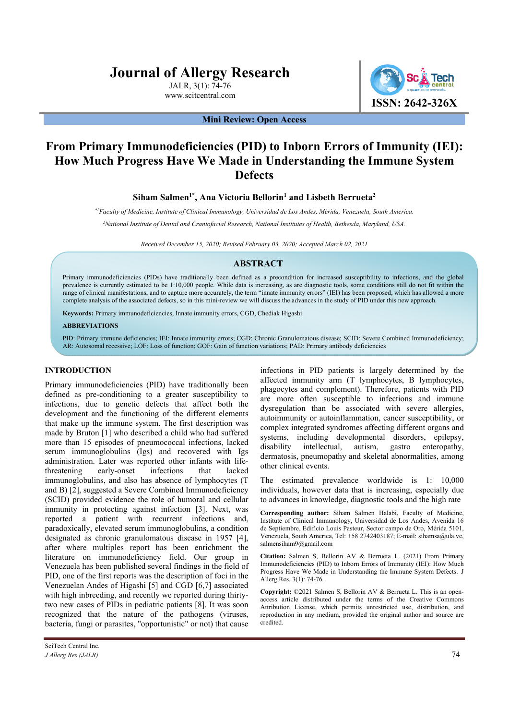# **Journal of Allergy Research**

JALR, 3(1): 74-76 www.scitcentral.com



**Mini Review: Open Access** 

## **From Primary Immunodeficiencies (PID) to Inborn Errors of Immunity (IEI): How Much Progress Have We Made in Understanding the Immune System Defects**

## Siham Salmen<sup>1\*</sup>, Ana Victoria Bellorin<sup>1</sup> and Lisbeth Berrueta<sup>2</sup>

*\*1Faculty of Medicine, Institute of Clinical Immunology, Universidad de Los Andes, Mérida, Venezuela, South America.* 

*2 National Institute of Dental and Craniofacial Research, National Institutes of Health, Bethesda, Maryland, USA.* 

*Received December 15, 2020; Revised February 03, 2020; Accepted March 02, 2021* 

## **ABSTRACT**

Primary immunodeficiencies (PIDs) have traditionally been defined as a precondition for increased susceptibility to infections, and the global prevalence is currently estimated to be 1:10,000 people. While data is increasing, as are diagnostic tools, some conditions still do not fit within the range of clinical manifestations, and to capture more accurately, the term "innate immunity errors" (IEI) has been proposed, which has allowed a more complete analysis of the associated defects, so in this mini-review we will discuss the advances in the study of PID under this new approach.

**Keywords:** Primary immunodeficiencies, Innate immunity errors, CGD, Chediak Higashi

#### **ABBREVIATIONS**

PID: Primary immune deficiencies; IEI: Innate immunity errors; CGD: Chronic Granulomatous disease; SCID: Severe Combined Immunodeficiency; AR: Autosomal recessive; LOF: Loss of function; GOF: Gain of function variations; PAD: Primary antibody deficiencies

## **INTRODUCTION**

Primary immunodeficiencies (PID) have traditionally been defined as pre-conditioning to a greater susceptibility to infections, due to genetic defects that affect both the development and the functioning of the different elements that make up the immune system. The first description was made by Bruton [1] who described a child who had suffered more than 15 episodes of pneumococcal infections, lacked serum immunoglobulins (Igs) and recovered with Igs administration. Later was reported other infants with lifethreatening early-onset infections that lacked immunoglobulins, and also has absence of lymphocytes (T and B) [2], suggested a Severe Combined Immunodeficiency (SCID) provided evidence the role of humoral and cellular immunity in protecting against infection [3]. Next, was reported a patient with recurrent infections and, paradoxically, elevated serum immunoglobulins, a condition designated as chronic granulomatous disease in 1957 [4], after where multiples report has been enrichment the literature on immunodeficiency field. Our group in Venezuela has been published several findings in the field of PID, one of the first reports was the description of foci in the Venezuelan Andes of Higashi [5] and CGD [6,7] associated with high inbreeding, and recently we reported during thirtytwo new cases of PIDs in pediatric patients [8]. It was soon recognized that the nature of the pathogens (viruses, bacteria, fungi or parasites, "opportunistic" or not) that cause

infections in PID patients is largely determined by the affected immunity arm (T lymphocytes, B lymphocytes, phagocytes and complement). Therefore, patients with PID are more often susceptible to infections and immune dysregulation than be associated with severe allergies, autoimmunity or autoinflammation, cancer susceptibility, or complex integrated syndromes affecting different organs and systems, including developmental disorders, epilepsy, disability intellectual, autism, gastro enteropathy, dermatosis, pneumopathy and skeletal abnormalities, among other clinical events.

The estimated prevalence worldwide is 1: 10,000 individuals, however data that is increasing, especially due to advances in knowledge, diagnostic tools and the high rate

**Corresponding author:** Siham Salmen Halabi, Faculty of Medicine, Institute of Clinical Immunology, Universidad de Los Andes, Avenida 16 de Septiembre, Edificio Louis Pasteur, Sector campo de Oro, Mérida 5101, Venezuela, South America, Tel: +58 2742403187; E-mail: sihamsa@ula.ve, salmensiham9@gmail.com

**Citation:** Salmen S, Bellorin AV & Berrueta L. (2021) From Primary Immunodeficiencies (PID) to Inborn Errors of Immunity (IEI): How Much Progress Have We Made in Understanding the Immune System Defects. J Allerg Res, 3(1): 74-76.

**Copyright:** ©2021 Salmen S, Bellorin AV & Berrueta L. This is an openaccess article distributed under the terms of the Creative Commons Attribution License, which permits unrestricted use, distribution, and reproduction in any medium, provided the original author and source are credited.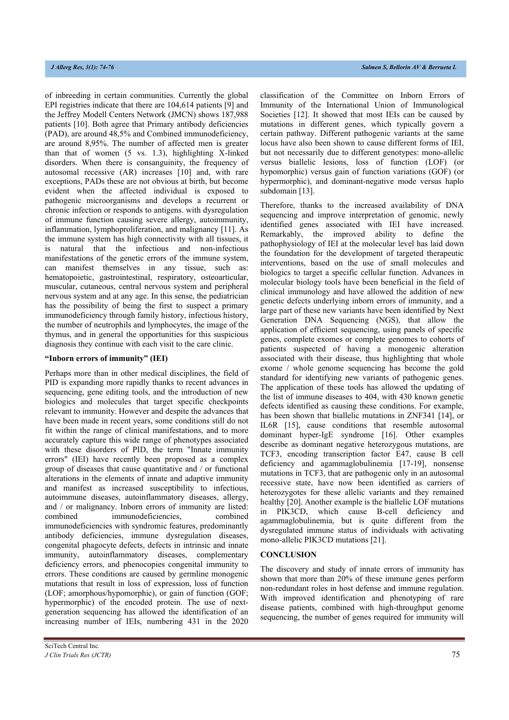of inbreeding in certain communities. Currently the global EPI registries indicate that there are 104,614 patients [9] and the Jeffrey Modell Centers Network (JMCN) shows 187,988 patients [10]. Both agree that Primary antibody deficiencies (PAD), are around 48,5% and Combined immunodeficiency, are around 8,95%. The number of affected men is greater than that of women (5 vs. 1.3), highlighting X-linked disorders. When there is consanguinity, the frequency of autosomal recessive (AR) increases [10] and, with rare exceptions, PADs these are not obvious at birth, but become evident when the affected individual is exposed to pathogenic microorganisms and develops a recurrent or chronic infection or responds to antigens. with dysregulation of immune function causing severe allergy, autoimmunity, inflammation, lymphoproliferation, and malignancy [11]. As the immune system has high connectivity with all tissues, it is natural that the infectious and non-infectious manifestations of the genetic errors of the immune system, can manifest themselves in any tissue, such as: hematopoietic, gastrointestinal, respiratory, osteoarticular, muscular, cutaneous, central nervous system and peripheral nervous system and at any age. In this sense, the pediatrician has the possibility of being the first to suspect a primary immunodeficiency through family history, infectious history, the number of neutrophils and lymphocytes, the image of the thymus, and in general the opportunities for this suspicious diagnosis they continue with each visit to the care clinic.

### **"Inborn errors of immunity" (IEI)**

Perhaps more than in other medical disciplines, the field of PID is expanding more rapidly thanks to recent advances in sequencing, gene editing tools, and the introduction of new biologics and molecules that target specific checkpoints relevant to immunity. However and despite the advances that have been made in recent years, some conditions still do not fit within the range of clinical manifestations, and to more accurately capture this wide range of phenotypes associated with these disorders of PID, the term "Innate immunity errors" (IEI) have recently been proposed as a complex group of diseases that cause quantitative and / or functional alterations in the elements of innate and adaptive immunity and manifest as increased susceptibility to infectious, autoimmune diseases, autoinflammatory diseases, allergy, and / or malignancy. Inborn errors of immunity are listed: combined immunodeficiencies, combined immunodeficiencies with syndromic features, predominantly antibody deficiencies, immune dysregulation diseases, congenital phagocyte defects, defects in intrinsic and innate immunity, autoinflammatory diseases, complementary deficiency errors, and phenocopies congenital immunity to errors. These conditions are caused by germline monogenic mutations that result in loss of expression, loss of function (LOF; amorphous/hypomorphic), or gain of function (GOF; hypermorphic) of the encoded protein. The use of nextgeneration sequencing has allowed the identification of an increasing number of IEIs, numbering 431 in the 2020

classification of the Committee on Inborn Errors of Immunity of the International Union of Immunological Societies [12]. It showed that most IEIs can be caused by mutations in different genes, which typically govern a certain pathway. Different pathogenic variants at the same locus have also been shown to cause different forms of IEI, but not necessarily due to different genotypes: mono-allelic versus biallelic lesions, loss of function (LOF) (or hypomorphic) versus gain of function variations (GOF) (or hypermorphic), and dominant-negative mode versus haplo subdomain [13].

Therefore, thanks to the increased availability of DNA sequencing and improve interpretation of genomic, newly identified genes associated with IEI have increased. Remarkably, the improved ability to define the pathophysiology of IEI at the molecular level has laid down the foundation for the development of targeted therapeutic interventions, based on the use of small molecules and biologics to target a specific cellular function. Advances in molecular biology tools have been beneficial in the field of clinical immunology and have allowed the addition of new genetic defects underlying inborn errors of immunity, and a large part of these new variants have been identified by Next Generation DNA Sequencing (NGS), that allow the application of efficient sequencing, using panels of specific genes, complete exomes or complete genomes to cohorts of patients suspected of having a monogenic alteration associated with their disease, thus highlighting that whole exome / whole genome sequencing has become the gold standard for identifying new variants of pathogenic genes. The application of these tools has allowed the updating of the list of immune diseases to 404, with 430 known genetic defects identified as causing these conditions. For example, has been shown that biallelic mutations in ZNF341 [14], or IL6R [15], cause conditions that resemble autosomal dominant hyper-IgE syndrome [16]. Other examples describe as dominant negative heterozygous mutations, are TCF3, encoding transcription factor E47, cause B cell deficiency and agammaglobulinemia [17-19], nonsense mutations in TCF3, that are pathogenic only in an autosomal recessive state, have now been identified as carriers of heterozygotes for these allelic variants and they remained healthy [20]. Another example is the biallelic LOF mutations in PIK3CD, which cause B-cell deficiency and agammaglobulinemia, but is quite different from the dysregulated immune status of individuals with activating mono-allelic PIK3CD mutations [21].

## **CONCLUSION**

The discovery and study of innate errors of immunity has shown that more than 20% of these immune genes perform non-redundant roles in host defense and immune regulation. With improved identification and phenotyping of rare disease patients, combined with high-throughput genome sequencing, the number of genes required for immunity will